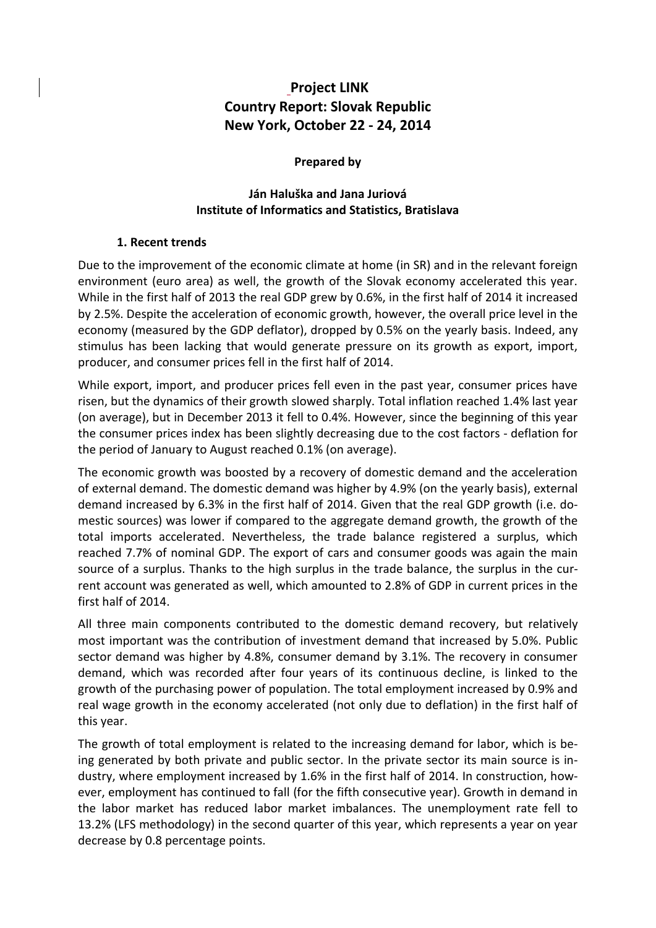# **Project LINK Country Report: Slovak Republic New York, October 22 - 24, 2014**

#### **Prepared by**

#### **Ján Haluška and Jana Juriová Institute of Informatics and Statistics, Bratislava**

#### **1. Recent trends**

Due to the improvement of the economic climate at home (in SR) and in the relevant foreign environment (euro area) as well, the growth of the Slovak economy accelerated this year. While in the first half of 2013 the real GDP grew by 0.6%, in the first half of 2014 it increased by 2.5%. Despite the acceleration of economic growth, however, the overall price level in the economy (measured by the GDP deflator), dropped by 0.5% on the yearly basis. Indeed, any stimulus has been lacking that would generate pressure on its growth as export, import, producer, and consumer prices fell in the first half of 2014.

While export, import, and producer prices fell even in the past year, consumer prices have risen, but the dynamics of their growth slowed sharply. Total inflation reached 1.4% last year (on average), but in December 2013 it fell to 0.4%. However, since the beginning of this year the consumer prices index has been slightly decreasing due to the cost factors - deflation for the period of January to August reached 0.1% (on average).

The economic growth was boosted by a recovery of domestic demand and the acceleration of external demand. The domestic demand was higher by 4.9% (on the yearly basis), external demand increased by 6.3% in the first half of 2014. Given that the real GDP growth (i.e. domestic sources) was lower if compared to the aggregate demand growth, the growth of the total imports accelerated. Nevertheless, the trade balance registered a surplus, which reached 7.7% of nominal GDP. The export of cars and consumer goods was again the main source of a surplus. Thanks to the high surplus in the trade balance, the surplus in the current account was generated as well, which amounted to 2.8% of GDP in current prices in the first half of 2014.

All three main components contributed to the domestic demand recovery, but relatively most important was the contribution of investment demand that increased by 5.0%. Public sector demand was higher by 4.8%, consumer demand by 3.1%. The recovery in consumer demand, which was recorded after four years of its continuous decline, is linked to the growth of the purchasing power of population. The total employment increased by 0.9% and real wage growth in the economy accelerated (not only due to deflation) in the first half of this year.

The growth of total employment is related to the increasing demand for labor, which is being generated by both private and public sector. In the private sector its main source is industry, where employment increased by 1.6% in the first half of 2014. In construction, however, employment has continued to fall (for the fifth consecutive year). Growth in demand in the labor market has reduced labor market imbalances. The unemployment rate fell to 13.2% (LFS methodology) in the second quarter of this year, which represents a year on year decrease by 0.8 percentage points.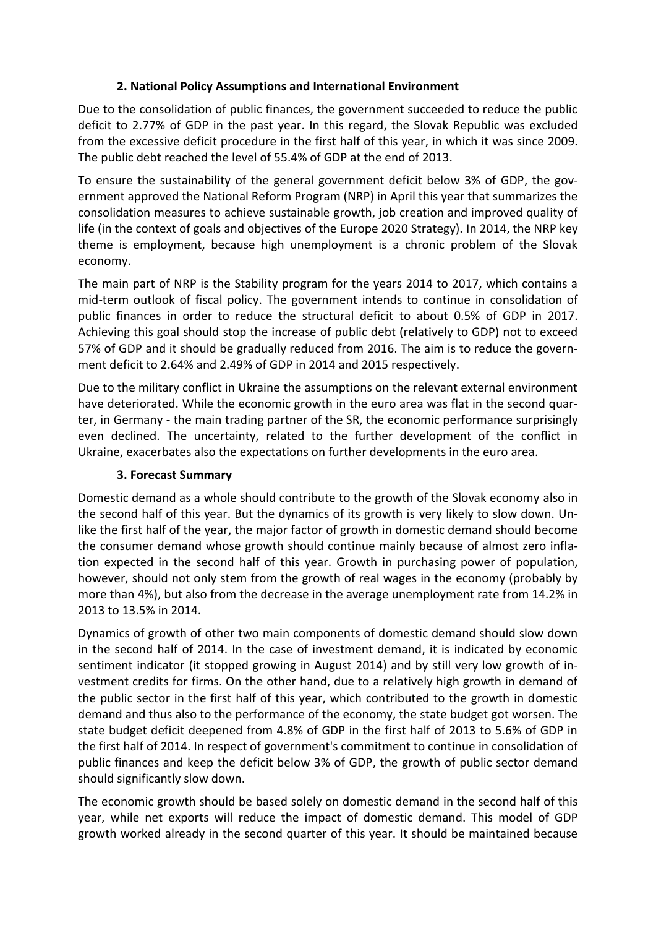## **2. National Policy Assumptions and International Environment**

Due to the consolidation of public finances, the government succeeded to reduce the public deficit to 2.77% of GDP in the past year. In this regard, the Slovak Republic was excluded from the excessive deficit procedure in the first half of this year, in which it was since 2009. The public debt reached the level of 55.4% of GDP at the end of 2013.

To ensure the sustainability of the general government deficit below 3% of GDP, the government approved the National Reform Program (NRP) in April this year that summarizes the consolidation measures to achieve sustainable growth, job creation and improved quality of life (in the context of goals and objectives of the Europe 2020 Strategy). In 2014, the NRP key theme is employment, because high unemployment is a chronic problem of the Slovak economy.

The main part of NRP is the Stability program for the years 2014 to 2017, which contains a mid-term outlook of fiscal policy. The government intends to continue in consolidation of public finances in order to reduce the structural deficit to about 0.5% of GDP in 2017. Achieving this goal should stop the increase of public debt (relatively to GDP) not to exceed 57% of GDP and it should be gradually reduced from 2016. The aim is to reduce the government deficit to 2.64% and 2.49% of GDP in 2014 and 2015 respectively.

Due to the military conflict in Ukraine the assumptions on the relevant external environment have deteriorated. While the economic growth in the euro area was flat in the second quarter, in Germany - the main trading partner of the SR, the economic performance surprisingly even declined. The uncertainty, related to the further development of the conflict in Ukraine, exacerbates also the expectations on further developments in the euro area.

### **3. Forecast Summary**

Domestic demand as a whole should contribute to the growth of the Slovak economy also in the second half of this year. But the dynamics of its growth is very likely to slow down. Unlike the first half of the year, the major factor of growth in domestic demand should become the consumer demand whose growth should continue mainly because of almost zero inflation expected in the second half of this year. Growth in purchasing power of population, however, should not only stem from the growth of real wages in the economy (probably by more than 4%), but also from the decrease in the average unemployment rate from 14.2% in 2013 to 13.5% in 2014.

Dynamics of growth of other two main components of domestic demand should slow down in the second half of 2014. In the case of investment demand, it is indicated by economic sentiment indicator (it stopped growing in August 2014) and by still very low growth of investment credits for firms. On the other hand, due to a relatively high growth in demand of the public sector in the first half of this year, which contributed to the growth in domestic demand and thus also to the performance of the economy, the state budget got worsen. The state budget deficit deepened from 4.8% of GDP in the first half of 2013 to 5.6% of GDP in the first half of 2014. In respect of government's commitment to continue in consolidation of public finances and keep the deficit below 3% of GDP, the growth of public sector demand should significantly slow down.

The economic growth should be based solely on domestic demand in the second half of this year, while net exports will reduce the impact of domestic demand. This model of GDP growth worked already in the second quarter of this year. It should be maintained because